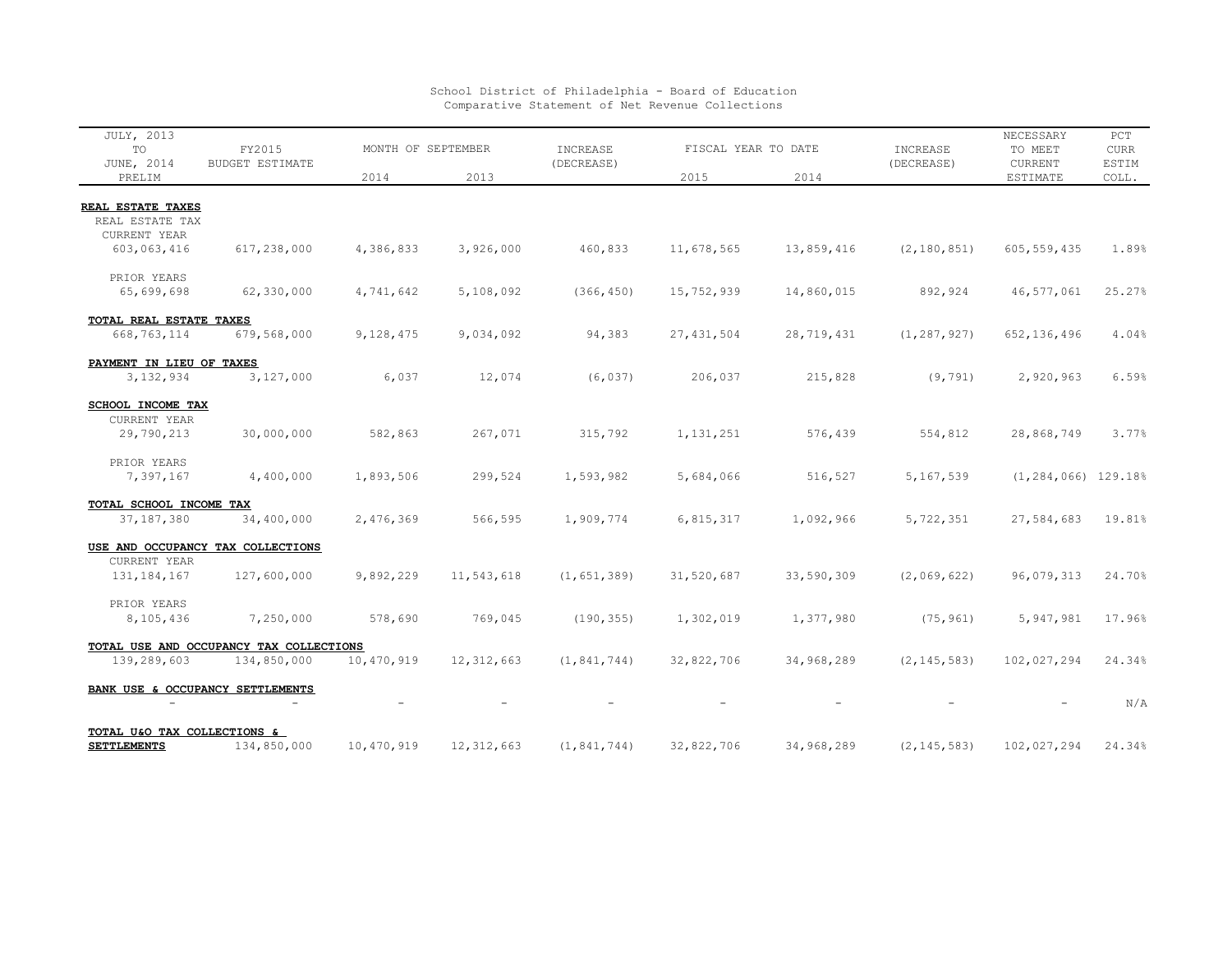| JULY, 2013<br>TO                     | FY2015<br>BUDGET ESTIMATE               | MONTH OF SEPTEMBER |              | INCREASE      | FISCAL YEAR TO DATE |            | INCREASE      | NECESSARY<br>TO MEET    | PCT<br><b>CURR</b> |
|--------------------------------------|-----------------------------------------|--------------------|--------------|---------------|---------------------|------------|---------------|-------------------------|--------------------|
| JUNE, 2014<br>PRELIM                 |                                         | 2014               | 2013         | (DECREASE)    | 2015                | 2014       | (DECREASE)    | CURRENT<br>ESTIMATE     | ESTIM<br>COLL.     |
|                                      |                                         |                    |              |               |                     |            |               |                         |                    |
| REAL ESTATE TAXES<br>REAL ESTATE TAX |                                         |                    |              |               |                     |            |               |                         |                    |
| CURRENT YEAR                         |                                         |                    |              |               |                     |            |               |                         |                    |
| 603,063,416                          | 617,238,000                             | 4,386,833          | 3,926,000    | 460,833       | 11,678,565          | 13,859,416 | (2, 180, 851) | 605, 559, 435           | 1.89%              |
| PRIOR YEARS                          |                                         |                    |              |               |                     |            |               |                         |                    |
| 65,699,698                           | 62,330,000                              | 4,741,642          | 5,108,092    | (366, 450)    | 15,752,939          | 14,860,015 | 892,924       | 46, 577, 061            | 25.27%             |
| TOTAL REAL ESTATE TAXES              |                                         |                    |              |               |                     |            |               |                         |                    |
| 668, 763, 114                        | 679,568,000                             | 9,128,475          | 9,034,092    | 94,383        | 27, 431, 504        | 28,719,431 | (1, 287, 927) | 652, 136, 496           | 4.04%              |
| PAYMENT IN LIEU OF TAXES             |                                         |                    |              |               |                     |            |               |                         |                    |
| 3, 132, 934                          | 3,127,000                               | 6,037              | 12,074       | (6, 037)      | 206,037             | 215,828    | (9, 791)      | 2,920,963               | 6.59%              |
| SCHOOL INCOME TAX                    |                                         |                    |              |               |                     |            |               |                         |                    |
| CURRENT YEAR                         |                                         |                    |              |               |                     |            |               |                         |                    |
| 29,790,213                           | 30,000,000                              | 582,863            | 267,071      | 315,792       | 1, 131, 251         | 576,439    | 554,812       | 28,868,749              | 3.77%              |
| PRIOR YEARS                          |                                         |                    |              |               |                     |            |               |                         |                    |
| 7,397,167                            | 4,400,000                               | 1,893,506          | 299,524      | 1,593,982     | 5,684,066           | 516,527    | 5,167,539     | $(1, 284, 066)$ 129.18% |                    |
| TOTAL SCHOOL INCOME TAX              |                                         |                    |              |               |                     |            |               |                         |                    |
| 37, 187, 380                         | 34,400,000                              | 2,476,369          | 566,595      | 1,909,774     | 6,815,317           | 1,092,966  | 5,722,351     | 27,584,683              | 19.81%             |
|                                      | USE AND OCCUPANCY TAX COLLECTIONS       |                    |              |               |                     |            |               |                         |                    |
| CURRENT YEAR                         |                                         |                    |              |               |                     |            |               |                         |                    |
| 131, 184, 167                        | 127,600,000                             | 9,892,229          | 11,543,618   | (1, 651, 389) | 31,520,687          | 33,590,309 | (2,069,622)   | 96,079,313              | 24.70%             |
| PRIOR YEARS                          |                                         |                    |              |               |                     |            |               |                         |                    |
| 8,105,436                            | 7,250,000                               | 578,690            | 769,045      | (190, 355)    | 1,302,019           | 1,377,980  | (75, 961)     | 5,947,981               | 17.96%             |
|                                      | TOTAL USE AND OCCUPANCY TAX COLLECTIONS |                    |              |               |                     |            |               |                         |                    |
| 139,289,603                          | 134,850,000                             | 10,470,919         | 12, 312, 663 | (1, 841, 744) | 32,822,706          | 34,968,289 | (2, 145, 583) | 102,027,294             | 24.34%             |
|                                      | BANK USE & OCCUPANCY SETTLEMENTS        |                    |              |               |                     |            |               |                         |                    |
|                                      |                                         |                    |              |               |                     |            |               |                         | N/A                |
| TOTAL U&O TAX COLLECTIONS &          |                                         |                    |              |               |                     |            |               |                         |                    |
| <b>SETTLEMENTS</b>                   | 134,850,000                             | 10,470,919         | 12, 312, 663 | (1, 841, 744) | 32,822,706          | 34,968,289 | (2, 145, 583) | 102,027,294             | 24.34%             |

## School District of Philadelphia - Board of Education Comparative Statement of Net Revenue Collections